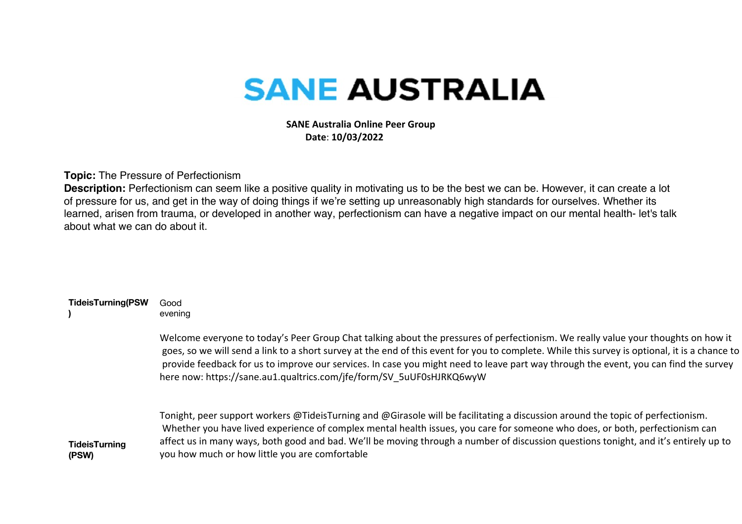## **SANE AUSTRALIA**

 **SANE Australia Online Peer Group Date**: **10/03/2022**

**Topic:** The Pressure of Perfectionism

**Description:** Perfectionism can seem like a positive quality in motivating us to be the best we can be. However, it can create a lot of pressure for us, and get in the way of doing things if we're setting up unreasonably high standards for ourselves. Whether its learned, arisen from trauma, or developed in another way, perfectionism can have a negative impact on our mental health- let's talk about what we can do about it.

| <b>TideisTurning(PSW</b>      | Good<br>evening                                                                                                                                                                                                                                                                                                                                                                                                                                                                                    |
|-------------------------------|----------------------------------------------------------------------------------------------------------------------------------------------------------------------------------------------------------------------------------------------------------------------------------------------------------------------------------------------------------------------------------------------------------------------------------------------------------------------------------------------------|
|                               | Welcome everyone to today's Peer Group Chat talking about the pressures of perfectionism. We really value your thoughts on how it<br>goes, so we will send a link to a short survey at the end of this event for you to complete. While this survey is optional, it is a chance to<br>provide feedback for us to improve our services. In case you might need to leave part way through the event, you can find the survey<br>here now: https://sane.au1.qualtrics.com/jfe/form/SV 5uUF0sHJRKQ6wyW |
| <b>TideisTurning</b><br>(PSW) | Tonight, peer support workers @TideisTurning and @Girasole will be facilitating a discussion around the topic of perfectionism.<br>Whether you have lived experience of complex mental health issues, you care for someone who does, or both, perfectionism can<br>affect us in many ways, both good and bad. We'll be moving through a number of discussion questions tonight, and it's entirely up to<br>you how much or how little you are comfortable                                          |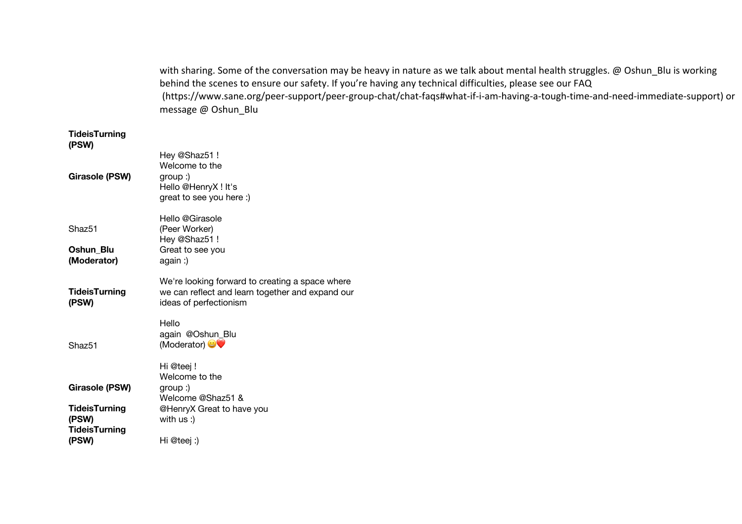|                               | with sharing. Some of the conversation may be heavy in nature as we talk about mental health struggles. @ Oshun_Blu is working<br>behind the scenes to ensure our safety. If you're having any technical difficulties, please see our FAQ<br>(https://www.sane.org/peer-support/peer-group-chat/chat-faqs#what-if-i-am-having-a-tough-time-and-need-immediate-support) or<br>message @ Oshun Blu |
|-------------------------------|--------------------------------------------------------------------------------------------------------------------------------------------------------------------------------------------------------------------------------------------------------------------------------------------------------------------------------------------------------------------------------------------------|
| <b>TideisTurning</b><br>(PSW) |                                                                                                                                                                                                                                                                                                                                                                                                  |
|                               | Hey @Shaz51!<br>Welcome to the                                                                                                                                                                                                                                                                                                                                                                   |
| <b>Girasole (PSW)</b>         | $group:$ )<br>Hello @HenryX! It's<br>great to see you here :)                                                                                                                                                                                                                                                                                                                                    |
|                               | Hello @Girasole                                                                                                                                                                                                                                                                                                                                                                                  |
| Shaz51                        | (Peer Worker)<br>Hey @Shaz51 !                                                                                                                                                                                                                                                                                                                                                                   |
| Oshun_Blu                     | Great to see you                                                                                                                                                                                                                                                                                                                                                                                 |
| (Moderator)                   | again :)                                                                                                                                                                                                                                                                                                                                                                                         |
|                               | We're looking forward to creating a space where                                                                                                                                                                                                                                                                                                                                                  |
| <b>TideisTurning</b>          | we can reflect and learn together and expand our                                                                                                                                                                                                                                                                                                                                                 |
| (PSW)                         | ideas of perfectionism                                                                                                                                                                                                                                                                                                                                                                           |
|                               | Hello                                                                                                                                                                                                                                                                                                                                                                                            |
|                               | again @Oshun_Blu                                                                                                                                                                                                                                                                                                                                                                                 |
| Shaz51                        | (Moderator)                                                                                                                                                                                                                                                                                                                                                                                      |
|                               | Hi @teej!                                                                                                                                                                                                                                                                                                                                                                                        |
|                               | Welcome to the                                                                                                                                                                                                                                                                                                                                                                                   |
| <b>Girasole (PSW)</b>         | $group:$ )<br>Welcome @Shaz51 &                                                                                                                                                                                                                                                                                                                                                                  |
| <b>TideisTurning</b>          | @HenryX Great to have you                                                                                                                                                                                                                                                                                                                                                                        |
| (PSW)                         | with $us:$ )                                                                                                                                                                                                                                                                                                                                                                                     |
| <b>TideisTurning</b>          |                                                                                                                                                                                                                                                                                                                                                                                                  |
| (PSW)                         | Hi @teej:)                                                                                                                                                                                                                                                                                                                                                                                       |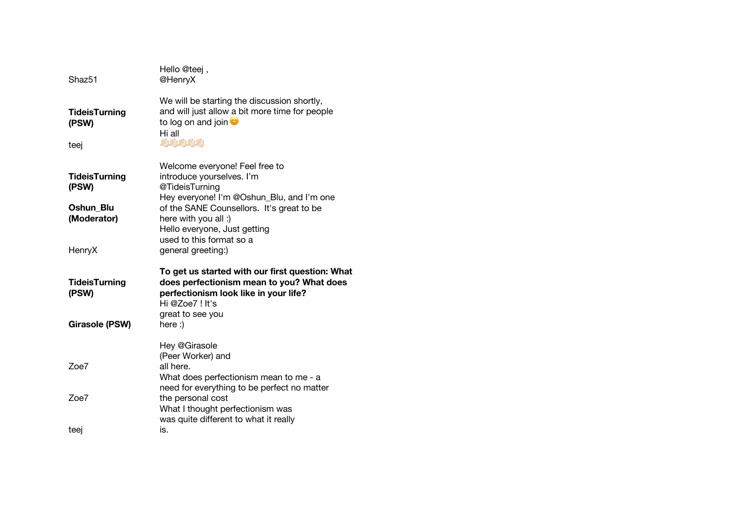| Shaz <sub>51</sub>                                                  | Hello @teej,<br>@HenryX                                                                                                                                                                                                                                                           |
|---------------------------------------------------------------------|-----------------------------------------------------------------------------------------------------------------------------------------------------------------------------------------------------------------------------------------------------------------------------------|
| <b>TideisTurning</b><br>(PSW)<br>teej                               | We will be starting the discussion shortly,<br>and will just allow a bit more time for people<br>to log on and join $\bullet$<br>Hi all<br><b>AND AND AND AND AND</b>                                                                                                             |
| <b>TideisTurning</b><br>(PSW)<br>Oshun Blu<br>(Moderator)<br>HenryX | Welcome everyone! Feel free to<br>introduce yourselves. I'm<br>@TideisTurning<br>Hey everyone! I'm @Oshun_Blu, and I'm one<br>of the SANE Counsellors. It's great to be<br>here with you all :)<br>Hello everyone, Just getting<br>used to this format so a<br>general greeting:) |
| <b>TideisTurning</b><br>(PSW)<br><b>Girasole (PSW)</b>              | To get us started with our first question: What<br>does perfectionism mean to you? What does<br>perfectionism look like in your life?<br>Hi @Zoe7! It's<br>great to see you<br>here :)                                                                                            |
| Zoe7<br>Zoe7                                                        | Hey @Girasole<br>(Peer Worker) and<br>all here.<br>What does perfectionism mean to me - a<br>need for everything to be perfect no matter                                                                                                                                          |
| teei                                                                | the personal cost<br>What I thought perfectionism was<br>was quite different to what it really<br>is.                                                                                                                                                                             |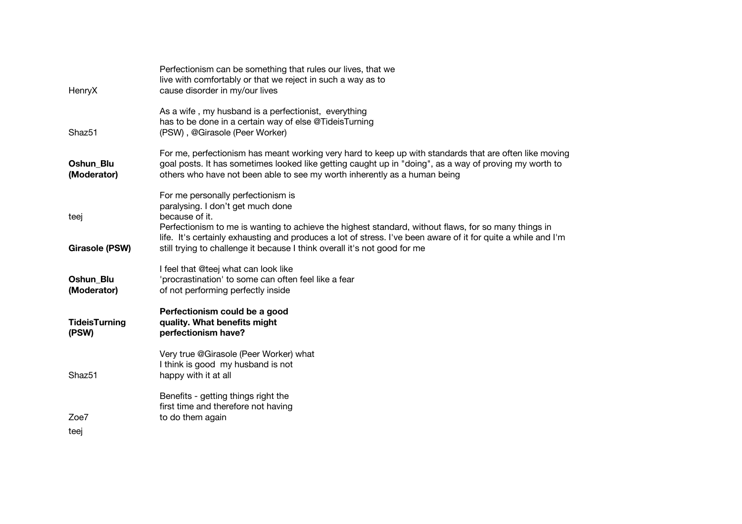| HenryX                          | Perfectionism can be something that rules our lives, that we<br>live with comfortably or that we reject in such a way as to<br>cause disorder in my/our lives                                                                                                                                 |
|---------------------------------|-----------------------------------------------------------------------------------------------------------------------------------------------------------------------------------------------------------------------------------------------------------------------------------------------|
| Shaz <sub>51</sub>              | As a wife, my husband is a perfectionist, everything<br>has to be done in a certain way of else @TideisTurning<br>(PSW), @Girasole (Peer Worker)                                                                                                                                              |
| <b>Oshun Blu</b><br>(Moderator) | For me, perfectionism has meant working very hard to keep up with standards that are often like moving<br>goal posts. It has sometimes looked like getting caught up in "doing", as a way of proving my worth to<br>others who have not been able to see my worth inherently as a human being |
| teej                            | For me personally perfectionism is<br>paralysing. I don't get much done<br>because of it.<br>Perfectionism to me is wanting to achieve the highest standard, without flaws, for so many things in                                                                                             |
| <b>Girasole (PSW)</b>           | life. It's certainly exhausting and produces a lot of stress. I've been aware of it for quite a while and I'm<br>still trying to challenge it because I think overall it's not good for me                                                                                                    |
| Oshun_Blu<br>(Moderator)        | I feel that @teej what can look like<br>'procrastination' to some can often feel like a fear<br>of not performing perfectly inside                                                                                                                                                            |
| <b>TideisTurning</b><br>(PSW)   | Perfectionism could be a good<br>quality. What benefits might<br>perfectionism have?                                                                                                                                                                                                          |
| Shaz51                          | Very true @Girasole (Peer Worker) what<br>I think is good my husband is not<br>happy with it at all                                                                                                                                                                                           |
| Zoe7<br>teej                    | Benefits - getting things right the<br>first time and therefore not having<br>to do them again                                                                                                                                                                                                |
|                                 |                                                                                                                                                                                                                                                                                               |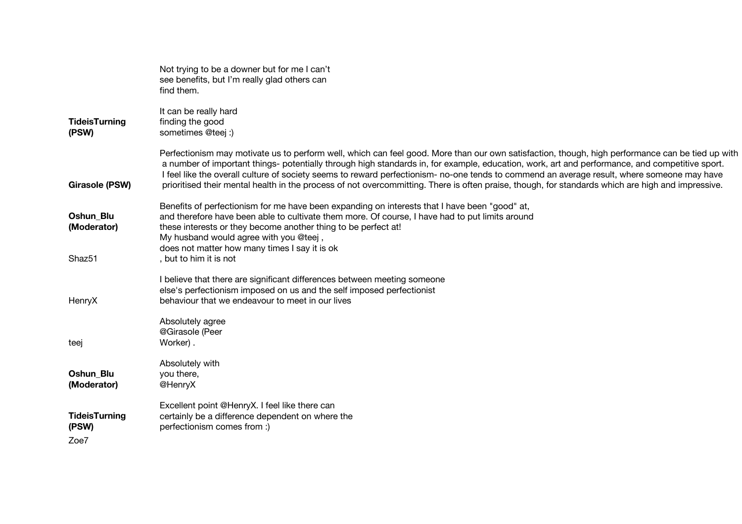|                               | Not trying to be a downer but for me I can't<br>see benefits, but I'm really glad others can<br>find them.                                                                                                                                                                                                                                                                                                                                                                                                                                                                                             |
|-------------------------------|--------------------------------------------------------------------------------------------------------------------------------------------------------------------------------------------------------------------------------------------------------------------------------------------------------------------------------------------------------------------------------------------------------------------------------------------------------------------------------------------------------------------------------------------------------------------------------------------------------|
| <b>TideisTurning</b><br>(PSW) | It can be really hard<br>finding the good<br>sometimes @teej :)                                                                                                                                                                                                                                                                                                                                                                                                                                                                                                                                        |
| Girasole (PSW)                | Perfectionism may motivate us to perform well, which can feel good. More than our own satisfaction, though, high performance can be tied up with<br>a number of important things- potentially through high standards in, for example, education, work, art and performance, and competitive sport.<br>I feel like the overall culture of society seems to reward perfectionism- no-one tends to commend an average result, where someone may have<br>prioritised their mental health in the process of not overcommitting. There is often praise, though, for standards which are high and impressive. |
| Oshun Blu<br>(Moderator)      | Benefits of perfectionism for me have been expanding on interests that I have been "good" at,<br>and therefore have been able to cultivate them more. Of course, I have had to put limits around<br>these interests or they become another thing to be perfect at!<br>My husband would agree with you @teej,                                                                                                                                                                                                                                                                                           |
| Shaz51                        | does not matter how many times I say it is ok<br>, but to him it is not                                                                                                                                                                                                                                                                                                                                                                                                                                                                                                                                |
| HenryX                        | I believe that there are significant differences between meeting someone<br>else's perfectionism imposed on us and the self imposed perfectionist<br>behaviour that we endeavour to meet in our lives                                                                                                                                                                                                                                                                                                                                                                                                  |
| teej                          | Absolutely agree<br>@Girasole (Peer<br>Worker).                                                                                                                                                                                                                                                                                                                                                                                                                                                                                                                                                        |
| Oshun Blu<br>(Moderator)      | Absolutely with<br>you there,<br>@HenryX                                                                                                                                                                                                                                                                                                                                                                                                                                                                                                                                                               |
| <b>TideisTurning</b><br>(PSW) | Excellent point @HenryX. I feel like there can<br>certainly be a difference dependent on where the<br>perfectionism comes from :)                                                                                                                                                                                                                                                                                                                                                                                                                                                                      |
| Zoe7                          |                                                                                                                                                                                                                                                                                                                                                                                                                                                                                                                                                                                                        |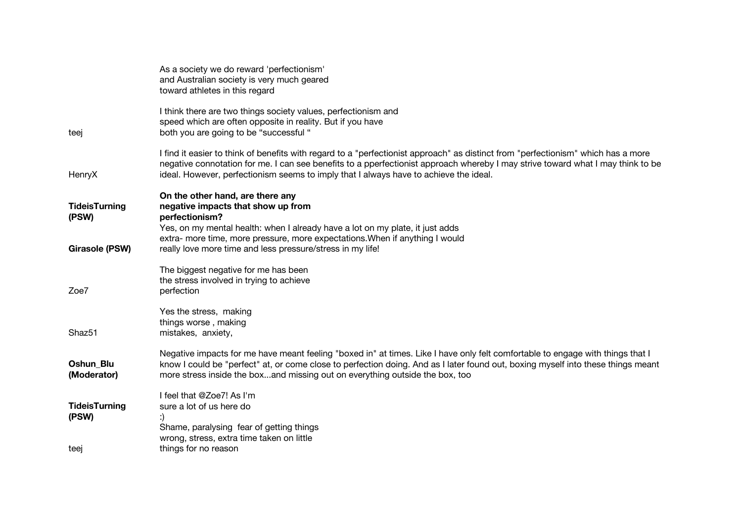| As a society we do reward 'perfectionism'<br>and Australian society is very much geared<br>toward athletes in this regard                                                                                                                                                                                                                                     |
|---------------------------------------------------------------------------------------------------------------------------------------------------------------------------------------------------------------------------------------------------------------------------------------------------------------------------------------------------------------|
| I think there are two things society values, perfectionism and<br>speed which are often opposite in reality. But if you have<br>both you are going to be "successful "                                                                                                                                                                                        |
| I find it easier to think of benefits with regard to a "perfectionist approach" as distinct from "perfectionism" which has a more<br>negative connotation for me. I can see benefits to a pperfectionist approach whereby I may strive toward what I may think to be<br>ideal. However, perfectionism seems to imply that I always have to achieve the ideal. |
| On the other hand, are there any<br>negative impacts that show up from<br>perfectionism?                                                                                                                                                                                                                                                                      |
| Yes, on my mental health: when I already have a lot on my plate, it just adds<br>extra- more time, more pressure, more expectations. When if anything I would<br>really love more time and less pressure/stress in my life!                                                                                                                                   |
| The biggest negative for me has been<br>the stress involved in trying to achieve<br>perfection                                                                                                                                                                                                                                                                |
| Yes the stress, making<br>things worse, making<br>mistakes, anxiety,                                                                                                                                                                                                                                                                                          |
| Negative impacts for me have meant feeling "boxed in" at times. Like I have only felt comfortable to engage with things that I<br>know I could be "perfect" at, or come close to perfection doing. And as I later found out, boxing myself into these things meant<br>more stress inside the boxand missing out on everything outside the box, too            |
| I feel that @Zoe7! As I'm<br>sure a lot of us here do<br>Shame, paralysing fear of getting things<br>wrong, stress, extra time taken on little<br>things for no reason                                                                                                                                                                                        |
|                                                                                                                                                                                                                                                                                                                                                               |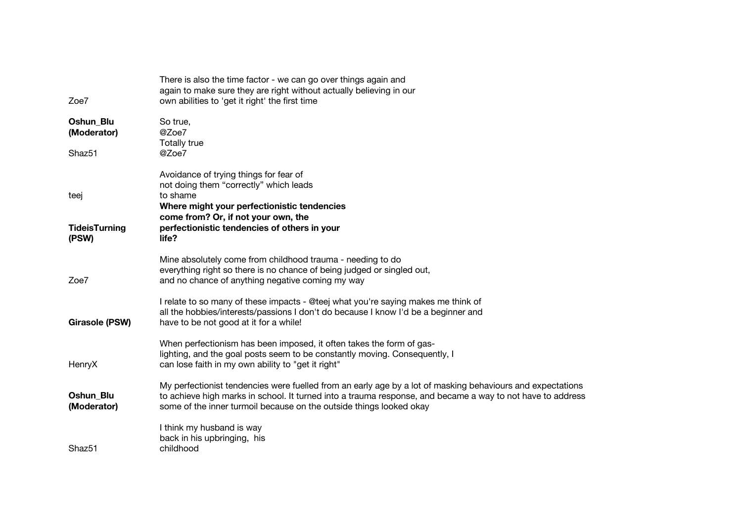| Zoe7                         | There is also the time factor - we can go over things again and<br>again to make sure they are right without actually believing in our<br>own abilities to 'get it right' the first time                                                                                                        |
|------------------------------|-------------------------------------------------------------------------------------------------------------------------------------------------------------------------------------------------------------------------------------------------------------------------------------------------|
| Oshun Blu<br>(Moderator)     | So true,<br>@Zoe7<br>Totally true                                                                                                                                                                                                                                                               |
| Shaz51                       | @Zoe7                                                                                                                                                                                                                                                                                           |
| teej<br><b>TideisTurning</b> | Avoidance of trying things for fear of<br>not doing them "correctly" which leads<br>to shame<br>Where might your perfectionistic tendencies<br>come from? Or, if not your own, the<br>perfectionistic tendencies of others in your                                                              |
| (PSW)                        | life?                                                                                                                                                                                                                                                                                           |
| Zoe7                         | Mine absolutely come from childhood trauma - needing to do<br>everything right so there is no chance of being judged or singled out,<br>and no chance of anything negative coming my way                                                                                                        |
| <b>Girasole (PSW)</b>        | I relate to so many of these impacts - @teej what you're saying makes me think of<br>all the hobbies/interests/passions I don't do because I know I'd be a beginner and<br>have to be not good at it for a while!                                                                               |
| HenryX                       | When perfectionism has been imposed, it often takes the form of gas-<br>lighting, and the goal posts seem to be constantly moving. Consequently, I<br>can lose faith in my own ability to "get it right"                                                                                        |
| Oshun_Blu<br>(Moderator)     | My perfectionist tendencies were fuelled from an early age by a lot of masking behaviours and expectations<br>to achieve high marks in school. It turned into a trauma response, and became a way to not have to address<br>some of the inner turmoil because on the outside things looked okay |
| Shaz <sub>51</sub>           | I think my husband is way<br>back in his upbringing, his<br>childhood                                                                                                                                                                                                                           |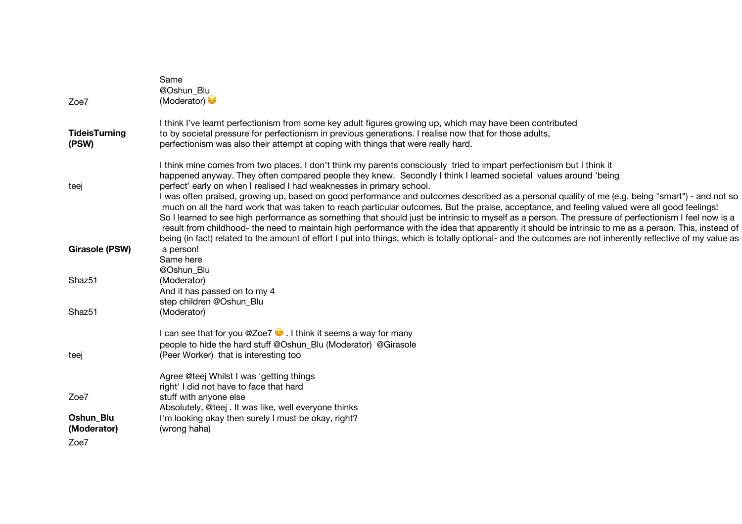| Zoe7                          | Same<br>@Oshun Blu<br>(Moderator)                                                                                                                                                                                                                                                                                                                                                                                                                                                                                                                                                                                                                                                                                                                                                                                                                                                                                                      |
|-------------------------------|----------------------------------------------------------------------------------------------------------------------------------------------------------------------------------------------------------------------------------------------------------------------------------------------------------------------------------------------------------------------------------------------------------------------------------------------------------------------------------------------------------------------------------------------------------------------------------------------------------------------------------------------------------------------------------------------------------------------------------------------------------------------------------------------------------------------------------------------------------------------------------------------------------------------------------------|
|                               |                                                                                                                                                                                                                                                                                                                                                                                                                                                                                                                                                                                                                                                                                                                                                                                                                                                                                                                                        |
| <b>TideisTurning</b><br>(PSW) | I think I've learnt perfectionism from some key adult figures growing up, which may have been contributed<br>to by societal pressure for perfectionism in previous generations. I realise now that for those adults,<br>perfectionism was also their attempt at coping with things that were really hard.                                                                                                                                                                                                                                                                                                                                                                                                                                                                                                                                                                                                                              |
| teej                          | I think mine comes from two places. I don't think my parents consciously tried to impart perfectionism but I think it<br>happened anyway. They often compared people they knew. Secondly I think I learned societal values around 'being<br>perfect' early on when I realised I had weaknesses in primary school.<br>I was often praised, growing up, based on good performance and outcomes described as a personal quality of me (e.g. being "smart") - and not so<br>much on all the hard work that was taken to reach particular outcomes. But the praise, acceptance, and feeling valued were all good feelings!<br>So I learned to see high performance as something that should just be intrinsic to myself as a person. The pressure of perfectionism I feel now is a<br>result from childhood- the need to maintain high performance with the idea that apparently it should be intrinsic to me as a person. This, instead of |
| <b>Girasole (PSW)</b>         | being (in fact) related to the amount of effort I put into things, which is totally optional- and the outcomes are not inherently reflective of my value as<br>a person!<br>Same here                                                                                                                                                                                                                                                                                                                                                                                                                                                                                                                                                                                                                                                                                                                                                  |
| Shaz51                        | @Oshun Blu<br>(Moderator)<br>And it has passed on to my 4                                                                                                                                                                                                                                                                                                                                                                                                                                                                                                                                                                                                                                                                                                                                                                                                                                                                              |
| Shaz <sub>51</sub>            | step children @Oshun_Blu<br>(Moderator)                                                                                                                                                                                                                                                                                                                                                                                                                                                                                                                                                                                                                                                                                                                                                                                                                                                                                                |
| teej                          | I can see that for you @Zoe7 $\bullet$ . I think it seems a way for many<br>people to hide the hard stuff @Oshun_Blu (Moderator) @Girasole<br>(Peer Worker) that is interesting too                                                                                                                                                                                                                                                                                                                                                                                                                                                                                                                                                                                                                                                                                                                                                    |
|                               | Agree @teej Whilst I was 'getting things<br>right' I did not have to face that hard                                                                                                                                                                                                                                                                                                                                                                                                                                                                                                                                                                                                                                                                                                                                                                                                                                                    |
| Zoe7                          | stuff with anyone else<br>Absolutely, @teej . It was like, well everyone thinks                                                                                                                                                                                                                                                                                                                                                                                                                                                                                                                                                                                                                                                                                                                                                                                                                                                        |
| Oshun Blu<br>(Moderator)      | I'm looking okay then surely I must be okay, right?<br>(wrong haha)                                                                                                                                                                                                                                                                                                                                                                                                                                                                                                                                                                                                                                                                                                                                                                                                                                                                    |
| Zoe7                          |                                                                                                                                                                                                                                                                                                                                                                                                                                                                                                                                                                                                                                                                                                                                                                                                                                                                                                                                        |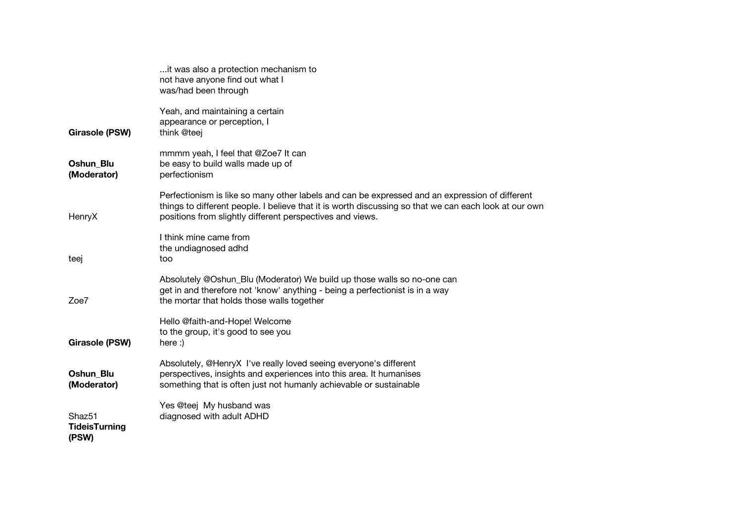|                                                     | it was also a protection mechanism to<br>not have anyone find out what I<br>was/had been through                                                                                                                                                                     |
|-----------------------------------------------------|----------------------------------------------------------------------------------------------------------------------------------------------------------------------------------------------------------------------------------------------------------------------|
| Girasole (PSW)                                      | Yeah, and maintaining a certain<br>appearance or perception, I<br>think @teej                                                                                                                                                                                        |
| Oshun_Blu<br>(Moderator)                            | mmmm yeah, I feel that @Zoe7 It can<br>be easy to build walls made up of<br>perfectionism                                                                                                                                                                            |
| HenryX                                              | Perfectionism is like so many other labels and can be expressed and an expression of different<br>things to different people. I believe that it is worth discussing so that we can each look at our own<br>positions from slightly different perspectives and views. |
| teej                                                | I think mine came from<br>the undiagnosed adhd<br>too                                                                                                                                                                                                                |
| Zoe7                                                | Absolutely @Oshun_Blu (Moderator) We build up those walls so no-one can<br>get in and therefore not 'know' anything - being a perfectionist is in a way<br>the mortar that holds those walls together                                                                |
| <b>Girasole (PSW)</b>                               | Hello @faith-and-Hope! Welcome<br>to the group, it's good to see you<br>here:)                                                                                                                                                                                       |
| Oshun Blu<br>(Moderator)                            | Absolutely, @HenryX I've really loved seeing everyone's different<br>perspectives, insights and experiences into this area. It humanises<br>something that is often just not humanly achievable or sustainable                                                       |
| Shaz <sub>51</sub><br><b>TideisTurning</b><br>(PSW) | Yes @teej My husband was<br>diagnosed with adult ADHD                                                                                                                                                                                                                |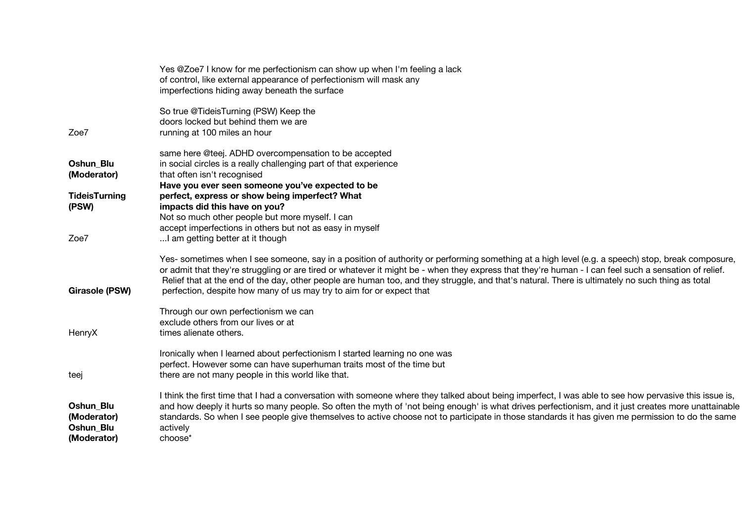|                                                      | Yes @Zoe7 I know for me perfectionism can show up when I'm feeling a lack<br>of control, like external appearance of perfectionism will mask any<br>imperfections hiding away beneath the surface                                                                                                                                                                                                                                                                                                                                     |
|------------------------------------------------------|---------------------------------------------------------------------------------------------------------------------------------------------------------------------------------------------------------------------------------------------------------------------------------------------------------------------------------------------------------------------------------------------------------------------------------------------------------------------------------------------------------------------------------------|
| Zoe7                                                 | So true @TideisTurning (PSW) Keep the<br>doors locked but behind them we are<br>running at 100 miles an hour                                                                                                                                                                                                                                                                                                                                                                                                                          |
| Oshun_Blu<br>(Moderator)                             | same here @teej. ADHD overcompensation to be accepted<br>in social circles is a really challenging part of that experience<br>that often isn't recognised                                                                                                                                                                                                                                                                                                                                                                             |
| <b>TideisTurning</b><br>(PSW)                        | Have you ever seen someone you've expected to be<br>perfect, express or show being imperfect? What<br>impacts did this have on you?<br>Not so much other people but more myself. I can                                                                                                                                                                                                                                                                                                                                                |
| Zoe7                                                 | accept imperfections in others but not as easy in myself<br>I am getting better at it though                                                                                                                                                                                                                                                                                                                                                                                                                                          |
| <b>Girasole (PSW)</b>                                | Yes- sometimes when I see someone, say in a position of authority or performing something at a high level (e.g. a speech) stop, break composure,<br>or admit that they're struggling or are tired or whatever it might be - when they express that they're human - I can feel such a sensation of relief.<br>Relief that at the end of the day, other people are human too, and they struggle, and that's natural. There is ultimately no such thing as total<br>perfection, despite how many of us may try to aim for or expect that |
| HenryX                                               | Through our own perfectionism we can<br>exclude others from our lives or at<br>times alienate others.                                                                                                                                                                                                                                                                                                                                                                                                                                 |
| teei                                                 | Ironically when I learned about perfectionism I started learning no one was<br>perfect. However some can have superhuman traits most of the time but<br>there are not many people in this world like that.                                                                                                                                                                                                                                                                                                                            |
| Oshun_Blu<br>(Moderator)<br>Oshun Blu<br>(Moderator) | I think the first time that I had a conversation with someone where they talked about being imperfect, I was able to see how pervasive this issue is,<br>and how deeply it hurts so many people. So often the myth of 'not being enough' is what drives perfectionism, and it just creates more unattainable<br>standards. So when I see people give themselves to active choose not to participate in those standards it has given me permission to do the same<br>actively<br>choose*                                               |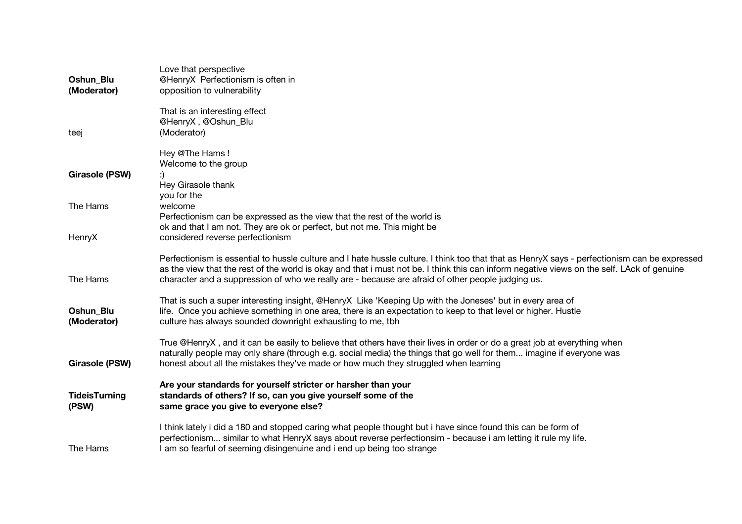| Oshun Blu<br>(Moderator)      | Love that perspective<br>@HenryX Perfectionism is often in<br>opposition to vulnerability                                                                                                                                                                                                                                                                                                        |
|-------------------------------|--------------------------------------------------------------------------------------------------------------------------------------------------------------------------------------------------------------------------------------------------------------------------------------------------------------------------------------------------------------------------------------------------|
| teej                          | That is an interesting effect<br>@HenryX, @Oshun_Blu<br>(Moderator)                                                                                                                                                                                                                                                                                                                              |
| <b>Girasole (PSW)</b>         | Hey @The Hams!<br>Welcome to the group<br>Hey Girasole thank                                                                                                                                                                                                                                                                                                                                     |
| The Hams                      | you for the<br>welcome<br>Perfectionism can be expressed as the view that the rest of the world is<br>ok and that I am not. They are ok or perfect, but not me. This might be                                                                                                                                                                                                                    |
| HenryX                        | considered reverse perfectionism                                                                                                                                                                                                                                                                                                                                                                 |
| The Hams                      | Perfectionism is essential to hussle culture and I hate hussle culture. I think too that that as HenryX says - perfectionism can be expressed<br>as the view that the rest of the world is okay and that i must not be. I think this can inform negative views on the self. LAck of genuine<br>character and a suppression of who we really are - because are afraid of other people judging us. |
| Oshun_Blu<br>(Moderator)      | That is such a super interesting insight, @HenryX Like 'Keeping Up with the Joneses' but in every area of<br>life. Once you achieve something in one area, there is an expectation to keep to that level or higher. Hustle<br>culture has always sounded downright exhausting to me, tbh                                                                                                         |
| <b>Girasole (PSW)</b>         | True @HenryX, and it can be easily to believe that others have their lives in order or do a great job at everything when<br>naturally people may only share (through e.g. social media) the things that go well for them imagine if everyone was<br>honest about all the mistakes they've made or how much they struggled when learning                                                          |
| <b>TideisTurning</b><br>(PSW) | Are your standards for yourself stricter or harsher than your<br>standards of others? If so, can you give yourself some of the<br>same grace you give to everyone else?                                                                                                                                                                                                                          |
| The Hams                      | I think lately i did a 180 and stopped caring what people thought but i have since found this can be form of<br>perfectionism similar to what HenryX says about reverse perfectionsim - because i am letting it rule my life.<br>I am so fearful of seeming disingenuine and i end up being too strange                                                                                          |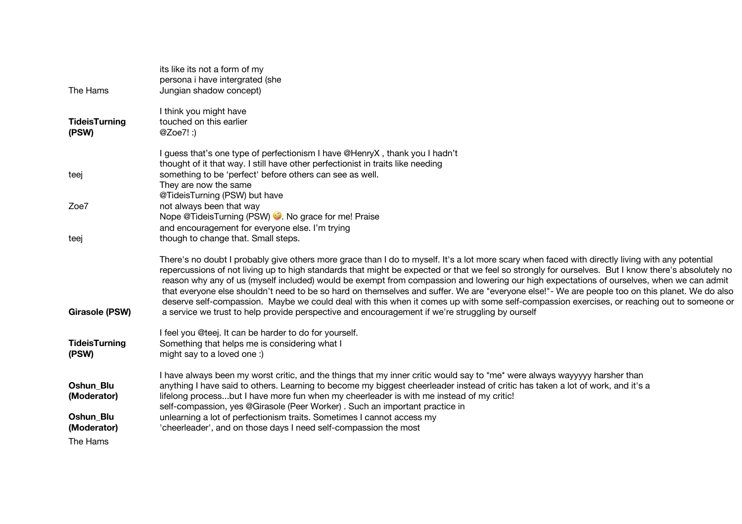| The Hams                      | its like its not a form of my<br>persona i have intergrated (she<br>Jungian shadow concept)                                                                                                                                                                                                                                                                                                                                                                                                                                                                                                                                                                                                                                                                                                                                                              |
|-------------------------------|----------------------------------------------------------------------------------------------------------------------------------------------------------------------------------------------------------------------------------------------------------------------------------------------------------------------------------------------------------------------------------------------------------------------------------------------------------------------------------------------------------------------------------------------------------------------------------------------------------------------------------------------------------------------------------------------------------------------------------------------------------------------------------------------------------------------------------------------------------|
| <b>TideisTurning</b><br>(PSW) | I think you might have<br>touched on this earlier<br>@Zoe7!:)                                                                                                                                                                                                                                                                                                                                                                                                                                                                                                                                                                                                                                                                                                                                                                                            |
| teej                          | I guess that's one type of perfectionism I have @HenryX, thank you I hadn't<br>thought of it that way. I still have other perfectionist in traits like needing<br>something to be 'perfect' before others can see as well.<br>They are now the same<br>@TideisTurning (PSW) but have                                                                                                                                                                                                                                                                                                                                                                                                                                                                                                                                                                     |
| Zoe7                          | not always been that way<br>Nope @TideisTurning (PSW) . No grace for me! Praise<br>and encouragement for everyone else. I'm trying                                                                                                                                                                                                                                                                                                                                                                                                                                                                                                                                                                                                                                                                                                                       |
| teej                          | though to change that. Small steps.                                                                                                                                                                                                                                                                                                                                                                                                                                                                                                                                                                                                                                                                                                                                                                                                                      |
| <b>Girasole (PSW)</b>         | There's no doubt I probably give others more grace than I do to myself. It's a lot more scary when faced with directly living with any potential<br>repercussions of not living up to high standards that might be expected or that we feel so strongly for ourselves. But I know there's absolutely no<br>reason why any of us (myself included) would be exempt from compassion and lowering our high expectations of ourselves, when we can admit<br>that everyone else shouldn't need to be so hard on themselves and suffer. We are "everyone else!"- We are people too on this planet. We do also<br>deserve self-compassion. Maybe we could deal with this when it comes up with some self-compassion exercises, or reaching out to someone or<br>a service we trust to help provide perspective and encouragement if we're struggling by ourself |
| <b>TideisTurning</b><br>(PSW) | I feel you @teej. It can be harder to do for yourself.<br>Something that helps me is considering what I<br>might say to a loved one:)                                                                                                                                                                                                                                                                                                                                                                                                                                                                                                                                                                                                                                                                                                                    |
| Oshun Blu<br>(Moderator)      | I have always been my worst critic, and the things that my inner critic would say to *me* were always wayyyyy harsher than<br>anything I have said to others. Learning to become my biggest cheerleader instead of critic has taken a lot of work, and it's a<br>lifelong processbut I have more fun when my cheerleader is with me instead of my critic!<br>self-compassion, yes @Girasole (Peer Worker). Such an important practice in                                                                                                                                                                                                                                                                                                                                                                                                                 |
| Oshun_Blu<br>(Moderator)      | unlearning a lot of perfectionism traits. Sometimes I cannot access my<br>'cheerleader', and on those days I need self-compassion the most                                                                                                                                                                                                                                                                                                                                                                                                                                                                                                                                                                                                                                                                                                               |
| The Hams                      |                                                                                                                                                                                                                                                                                                                                                                                                                                                                                                                                                                                                                                                                                                                                                                                                                                                          |
|                               |                                                                                                                                                                                                                                                                                                                                                                                                                                                                                                                                                                                                                                                                                                                                                                                                                                                          |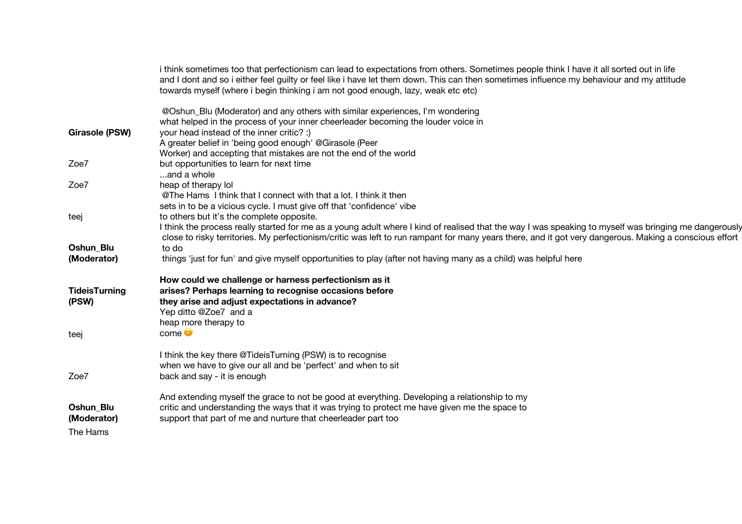|                       | i think sometimes too that perfectionism can lead to expectations from others. Sometimes people think I have it all sorted out in life<br>and I dont and so i either feel guilty or feel like i have let them down. This can then sometimes influence my behaviour and my attitude<br>towards myself (where i begin thinking i am not good enough, lazy, weak etc etc) |
|-----------------------|------------------------------------------------------------------------------------------------------------------------------------------------------------------------------------------------------------------------------------------------------------------------------------------------------------------------------------------------------------------------|
|                       | @Oshun_Blu (Moderator) and any others with similar experiences, I'm wondering<br>what helped in the process of your inner cheerleader becoming the louder voice in                                                                                                                                                                                                     |
| <b>Girasole (PSW)</b> | your head instead of the inner critic? :)                                                                                                                                                                                                                                                                                                                              |
|                       | A greater belief in 'being good enough' @Girasole (Peer                                                                                                                                                                                                                                                                                                                |
|                       | Worker) and accepting that mistakes are not the end of the world                                                                                                                                                                                                                                                                                                       |
| Zoe7                  | but opportunities to learn for next time                                                                                                                                                                                                                                                                                                                               |
|                       | and a whole                                                                                                                                                                                                                                                                                                                                                            |
| Zoe7                  | heap of therapy lol                                                                                                                                                                                                                                                                                                                                                    |
|                       | @The Hams I think that I connect with that a lot. I think it then                                                                                                                                                                                                                                                                                                      |
|                       | sets in to be a vicious cycle. I must give off that 'confidence' vibe                                                                                                                                                                                                                                                                                                  |
| teej                  | to others but it's the complete opposite.<br>I think the process really started for me as a young adult where I kind of realised that the way I was speaking to myself was bringing me dangerously                                                                                                                                                                     |
|                       | close to risky territories. My perfectionism/critic was left to run rampant for many years there, and it got very dangerous. Making a conscious effort                                                                                                                                                                                                                 |
| <b>Oshun Blu</b>      | to do                                                                                                                                                                                                                                                                                                                                                                  |
| (Moderator)           | things 'just for fun' and give myself opportunities to play (after not having many as a child) was helpful here                                                                                                                                                                                                                                                        |
|                       | How could we challenge or harness perfectionism as it                                                                                                                                                                                                                                                                                                                  |
| <b>TideisTurning</b>  | arises? Perhaps learning to recognise occasions before                                                                                                                                                                                                                                                                                                                 |
| (PSW)                 | they arise and adjust expectations in advance?                                                                                                                                                                                                                                                                                                                         |
|                       | Yep ditto @Zoe7 and a                                                                                                                                                                                                                                                                                                                                                  |
|                       | heap more therapy to                                                                                                                                                                                                                                                                                                                                                   |
| teej                  | com <sub>e</sub>                                                                                                                                                                                                                                                                                                                                                       |
|                       | I think the key there @TideisTurning (PSW) is to recognise                                                                                                                                                                                                                                                                                                             |
|                       | when we have to give our all and be 'perfect' and when to sit                                                                                                                                                                                                                                                                                                          |
| Zoe7                  | back and say - it is enough                                                                                                                                                                                                                                                                                                                                            |
|                       | And extending myself the grace to not be good at everything. Developing a relationship to my                                                                                                                                                                                                                                                                           |
| <b>Oshun Blu</b>      | critic and understanding the ways that it was trying to protect me have given me the space to                                                                                                                                                                                                                                                                          |
| (Moderator)           | support that part of me and nurture that cheerleader part too                                                                                                                                                                                                                                                                                                          |
| The Hams              |                                                                                                                                                                                                                                                                                                                                                                        |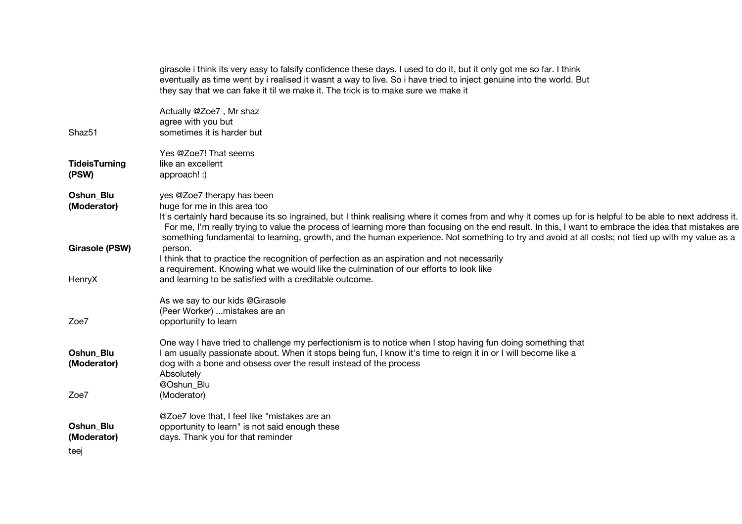|                                 | girasole i think its very easy to falsify confidence these days. I used to do it, but it only got me so far. I think<br>eventually as time went by i realised it wasnt a way to live. So i have tried to inject genuine into the world. But<br>they say that we can fake it til we make it. The trick is to make sure we make it                                                                                                                                                                                                      |
|---------------------------------|---------------------------------------------------------------------------------------------------------------------------------------------------------------------------------------------------------------------------------------------------------------------------------------------------------------------------------------------------------------------------------------------------------------------------------------------------------------------------------------------------------------------------------------|
| Shaz51                          | Actually @Zoe7, Mr shaz<br>agree with you but<br>sometimes it is harder but                                                                                                                                                                                                                                                                                                                                                                                                                                                           |
| <b>TideisTurning</b><br>(PSW)   | Yes @Zoe7! That seems<br>like an excellent<br>approach! :)                                                                                                                                                                                                                                                                                                                                                                                                                                                                            |
| Oshun_Blu<br>(Moderator)        | yes @Zoe7 therapy has been<br>huge for me in this area too<br>It's certainly hard because its so ingrained, but I think realising where it comes from and why it comes up for is helpful to be able to next address it.<br>For me, I'm really trying to value the process of learning more than focusing on the end result. In this, I want to embrace the idea that mistakes are<br>something fundamental to learning, growth, and the human experience. Not something to try and avoid at all costs; not tied up with my value as a |
| <b>Girasole (PSW)</b><br>HenryX | person.<br>I think that to practice the recognition of perfection as an aspiration and not necessarily<br>a requirement. Knowing what we would like the culmination of our efforts to look like<br>and learning to be satisfied with a creditable outcome.                                                                                                                                                                                                                                                                            |
| Zoe7                            | As we say to our kids @Girasole<br>(Peer Worker)  mistakes are an<br>opportunity to learn                                                                                                                                                                                                                                                                                                                                                                                                                                             |
| Oshun_Blu<br>(Moderator)        | One way I have tried to challenge my perfectionism is to notice when I stop having fun doing something that<br>I am usually passionate about. When it stops being fun, I know it's time to reign it in or I will become like a<br>dog with a bone and obsess over the result instead of the process<br>Absolutely<br>@Oshun Blu                                                                                                                                                                                                       |
| Zoe7                            | (Moderator)                                                                                                                                                                                                                                                                                                                                                                                                                                                                                                                           |
| Oshun_Blu<br>(Moderator)        | @Zoe7 love that, I feel like "mistakes are an<br>opportunity to learn" is not said enough these<br>days. Thank you for that reminder                                                                                                                                                                                                                                                                                                                                                                                                  |
| teej                            |                                                                                                                                                                                                                                                                                                                                                                                                                                                                                                                                       |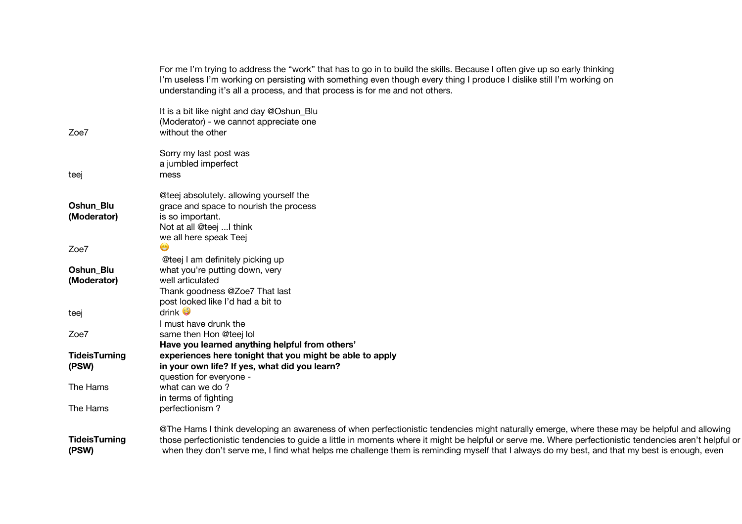|                               | For me I'm trying to address the "work" that has to go in to build the skills. Because I often give up so early thinking<br>I'm useless I'm working on persisting with something even though every thing I produce I dislike still I'm working on<br>understanding it's all a process, and that process is for me and not others.                                                                                                                       |
|-------------------------------|---------------------------------------------------------------------------------------------------------------------------------------------------------------------------------------------------------------------------------------------------------------------------------------------------------------------------------------------------------------------------------------------------------------------------------------------------------|
| Zoe7                          | It is a bit like night and day @Oshun_Blu<br>(Moderator) - we cannot appreciate one<br>without the other                                                                                                                                                                                                                                                                                                                                                |
|                               | Sorry my last post was<br>a jumbled imperfect                                                                                                                                                                                                                                                                                                                                                                                                           |
| teej                          | mess                                                                                                                                                                                                                                                                                                                                                                                                                                                    |
|                               | @teej absolutely. allowing yourself the                                                                                                                                                                                                                                                                                                                                                                                                                 |
| Oshun Blu                     | grace and space to nourish the process                                                                                                                                                                                                                                                                                                                                                                                                                  |
| (Moderator)                   | is so important.                                                                                                                                                                                                                                                                                                                                                                                                                                        |
|                               | Not at all @teej I think                                                                                                                                                                                                                                                                                                                                                                                                                                |
| Zoe7                          | we all here speak Teej                                                                                                                                                                                                                                                                                                                                                                                                                                  |
|                               | @teej I am definitely picking up                                                                                                                                                                                                                                                                                                                                                                                                                        |
| Oshun Blu                     | what you're putting down, very                                                                                                                                                                                                                                                                                                                                                                                                                          |
| (Moderator)                   | well articulated                                                                                                                                                                                                                                                                                                                                                                                                                                        |
|                               | Thank goodness @Zoe7 That last                                                                                                                                                                                                                                                                                                                                                                                                                          |
|                               | post looked like I'd had a bit to                                                                                                                                                                                                                                                                                                                                                                                                                       |
| teej                          | drink $\bullet$                                                                                                                                                                                                                                                                                                                                                                                                                                         |
| Zoe7                          | I must have drunk the<br>same then Hon @teej lol                                                                                                                                                                                                                                                                                                                                                                                                        |
|                               | Have you learned anything helpful from others'                                                                                                                                                                                                                                                                                                                                                                                                          |
| <b>TideisTurning</b>          | experiences here tonight that you might be able to apply                                                                                                                                                                                                                                                                                                                                                                                                |
| (PSW)                         | in your own life? If yes, what did you learn?                                                                                                                                                                                                                                                                                                                                                                                                           |
|                               | question for everyone -                                                                                                                                                                                                                                                                                                                                                                                                                                 |
| The Hams                      | what can we do?                                                                                                                                                                                                                                                                                                                                                                                                                                         |
|                               | in terms of fighting                                                                                                                                                                                                                                                                                                                                                                                                                                    |
| The Hams                      | perfectionism?                                                                                                                                                                                                                                                                                                                                                                                                                                          |
| <b>TideisTurning</b><br>(PSW) | @The Hams I think developing an awareness of when perfectionistic tendencies might naturally emerge, where these may be helpful and allowing<br>those perfectionistic tendencies to guide a little in moments where it might be helpful or serve me. Where perfectionistic tendencies aren't helpful or<br>when they don't serve me, I find what helps me challenge them is reminding myself that I always do my best, and that my best is enough, even |
|                               |                                                                                                                                                                                                                                                                                                                                                                                                                                                         |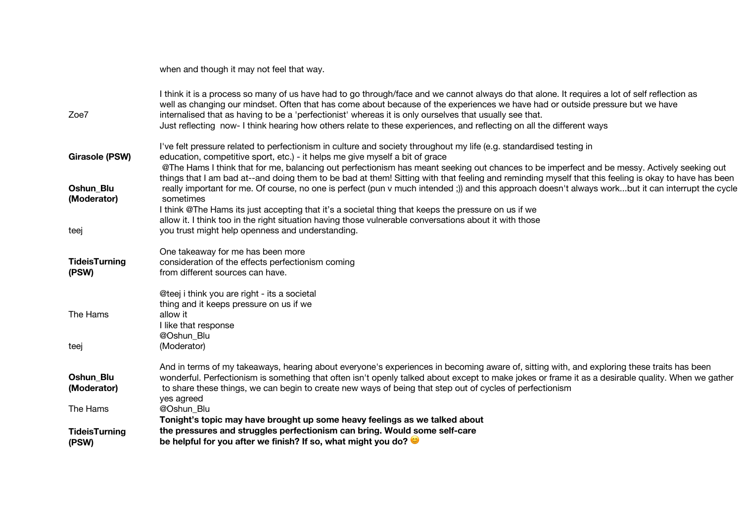|                               | when and though it may not feel that way.                                                                                                                                                                                                                                                                                                                                                                                                                                                                           |
|-------------------------------|---------------------------------------------------------------------------------------------------------------------------------------------------------------------------------------------------------------------------------------------------------------------------------------------------------------------------------------------------------------------------------------------------------------------------------------------------------------------------------------------------------------------|
| Zoe7                          | I think it is a process so many of us have had to go through/face and we cannot always do that alone. It requires a lot of self reflection as<br>well as changing our mindset. Often that has come about because of the experiences we have had or outside pressure but we have<br>internalised that as having to be a 'perfectionist' whereas it is only ourselves that usually see that.<br>Just reflecting now- I think hearing how others relate to these experiences, and reflecting on all the different ways |
| <b>Girasole (PSW)</b>         | I've felt pressure related to perfectionism in culture and society throughout my life (e.g. standardised testing in<br>education, competitive sport, etc.) - it helps me give myself a bit of grace<br>@The Hams I think that for me, balancing out perfectionism has meant seeking out chances to be imperfect and be messy. Actively seeking out                                                                                                                                                                  |
| Oshun Blu<br>(Moderator)      | things that I am bad at--and doing them to be bad at them! Sitting with that feeling and reminding myself that this feeling is okay to have has been<br>really important for me. Of course, no one is perfect (pun v much intended;)) and this approach doesn't always workbut it can interrupt the cycle<br>sometimes                                                                                                                                                                                              |
| teej                          | I think @The Hams its just accepting that it's a societal thing that keeps the pressure on us if we<br>allow it. I think too in the right situation having those vulnerable conversations about it with those<br>you trust might help openness and understanding.                                                                                                                                                                                                                                                   |
| <b>TideisTurning</b><br>(PSW) | One takeaway for me has been more<br>consideration of the effects perfectionism coming<br>from different sources can have.                                                                                                                                                                                                                                                                                                                                                                                          |
| The Hams                      | @teej i think you are right - its a societal<br>thing and it keeps pressure on us if we<br>allow it<br>I like that response                                                                                                                                                                                                                                                                                                                                                                                         |
| teej                          | @Oshun_Blu<br>(Moderator)                                                                                                                                                                                                                                                                                                                                                                                                                                                                                           |
| Oshun_Blu<br>(Moderator)      | And in terms of my takeaways, hearing about everyone's experiences in becoming aware of, sitting with, and exploring these traits has been<br>wonderful. Perfectionism is something that often isn't openly talked about except to make jokes or frame it as a desirable quality. When we gather<br>to share these things, we can begin to create new ways of being that step out of cycles of perfectionism<br>yes agreed                                                                                          |
| The Hams                      | @Oshun Blu<br>Tonight's topic may have brought up some heavy feelings as we talked about                                                                                                                                                                                                                                                                                                                                                                                                                            |
| <b>TideisTurning</b><br>(PSW) | the pressures and struggles perfectionism can bring. Would some self-care<br>be helpful for you after we finish? If so, what might you do?                                                                                                                                                                                                                                                                                                                                                                          |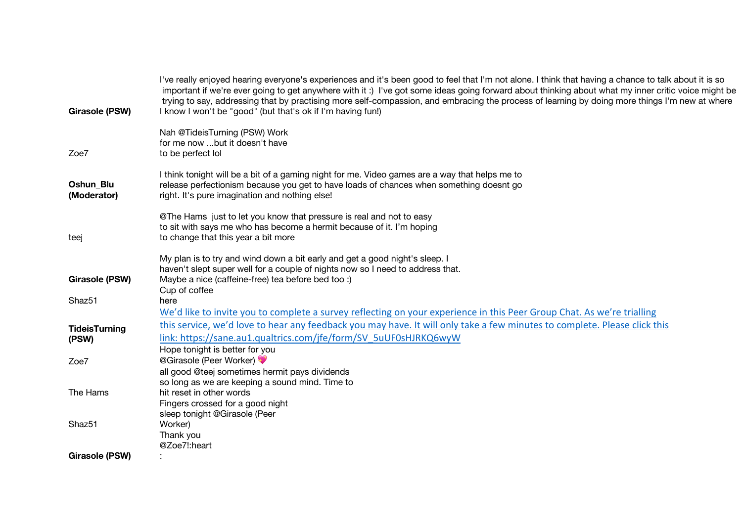| <b>Girasole (PSW)</b>         | I've really enjoyed hearing everyone's experiences and it's been good to feel that I'm not alone. I think that having a chance to talk about it is so<br>important if we're ever going to get anywhere with it:) I've got some ideas going forward about thinking about what my inner critic voice might be<br>trying to say, addressing that by practising more self-compassion, and embracing the process of learning by doing more things I'm new at where<br>I know I won't be "good" (but that's ok if I'm having fun!) |  |
|-------------------------------|------------------------------------------------------------------------------------------------------------------------------------------------------------------------------------------------------------------------------------------------------------------------------------------------------------------------------------------------------------------------------------------------------------------------------------------------------------------------------------------------------------------------------|--|
| Zoe7                          | Nah @TideisTurning (PSW) Work<br>for me now but it doesn't have<br>to be perfect lol                                                                                                                                                                                                                                                                                                                                                                                                                                         |  |
| Oshun_Blu<br>(Moderator)      | I think tonight will be a bit of a gaming night for me. Video games are a way that helps me to<br>release perfectionism because you get to have loads of chances when something doesnt go<br>right. It's pure imagination and nothing else!                                                                                                                                                                                                                                                                                  |  |
| teej                          | @The Hams just to let you know that pressure is real and not to easy<br>to sit with says me who has become a hermit because of it. I'm hoping<br>to change that this year a bit more                                                                                                                                                                                                                                                                                                                                         |  |
| Girasole (PSW)                | My plan is to try and wind down a bit early and get a good night's sleep. I<br>haven't slept super well for a couple of nights now so I need to address that.<br>Maybe a nice (caffeine-free) tea before bed too :)<br>Cup of coffee                                                                                                                                                                                                                                                                                         |  |
| Shaz51                        | here<br>We'd like to invite you to complete a survey reflecting on your experience in this Peer Group Chat. As we're trialling                                                                                                                                                                                                                                                                                                                                                                                               |  |
| <b>TideisTurning</b><br>(PSW) | this service, we'd love to hear any feedback you may have. It will only take a few minutes to complete. Please click this<br>link: https://sane.au1.qualtrics.com/jfe/form/SV 5uUF0sHJRKQ6wyW<br>Hope tonight is better for you                                                                                                                                                                                                                                                                                              |  |
| Zoe7                          | @Girasole (Peer Worker)<br>all good @teej sometimes hermit pays dividends<br>so long as we are keeping a sound mind. Time to                                                                                                                                                                                                                                                                                                                                                                                                 |  |
| The Hams                      | hit reset in other words<br>Fingers crossed for a good night<br>sleep tonight @Girasole (Peer                                                                                                                                                                                                                                                                                                                                                                                                                                |  |
| Shaz51                        | Worker)<br>Thank you<br>@Zoe7!:heart                                                                                                                                                                                                                                                                                                                                                                                                                                                                                         |  |
| Girasole (PSW)                |                                                                                                                                                                                                                                                                                                                                                                                                                                                                                                                              |  |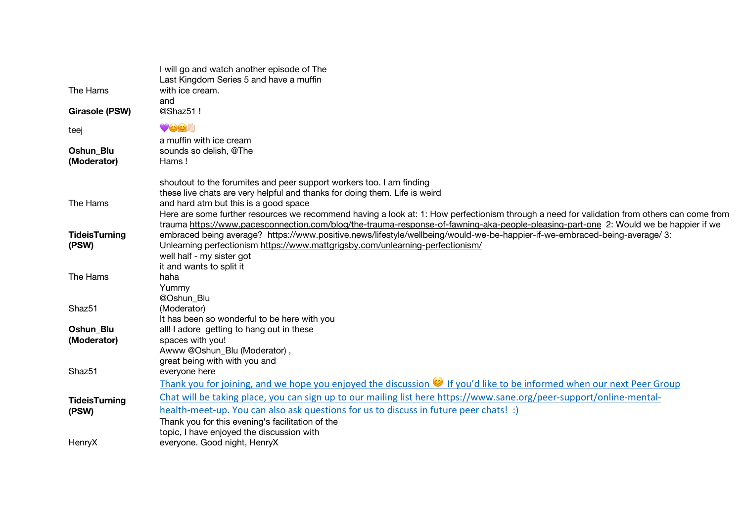| The Hams                        | I will go and watch another episode of The<br>Last Kingdom Series 5 and have a muffin<br>with ice cream.<br>and<br>@Shaz51!                                                                                                                                                                                                  |  |
|---------------------------------|------------------------------------------------------------------------------------------------------------------------------------------------------------------------------------------------------------------------------------------------------------------------------------------------------------------------------|--|
| <b>Girasole (PSW)</b>           |                                                                                                                                                                                                                                                                                                                              |  |
| teej                            | $\bullet$ 0,0.8                                                                                                                                                                                                                                                                                                              |  |
| <b>Oshun Blu</b><br>(Moderator) | a muffin with ice cream<br>sounds so delish, @The<br>Hams!                                                                                                                                                                                                                                                                   |  |
|                                 | shoutout to the forumites and peer support workers too. I am finding<br>these live chats are very helpful and thanks for doing them. Life is weird                                                                                                                                                                           |  |
| The Hams                        | and hard atm but this is a good space<br>Here are some further resources we recommend having a look at: 1: How perfectionism through a need for validation from others can come from<br>trauma https://www.pacesconnection.com/blog/the-trauma-response-of-fawning-aka-people-pleasing-part-one 2: Would we be happier if we |  |
| <b>TideisTurning</b><br>(PSW)   | embraced being average? https://www.positive.news/lifestyle/wellbeing/would-we-be-happier-if-we-embraced-being-average/ 3:<br>Unlearning perfectionism https://www.mattgrigsby.com/unlearning-perfectionism/<br>well half - my sister got<br>it and wants to split it                                                        |  |
| The Hams                        | haha<br>Yummy<br>@Oshun Blu                                                                                                                                                                                                                                                                                                  |  |
| Shaz <sub>51</sub>              | (Moderator)<br>It has been so wonderful to be here with you                                                                                                                                                                                                                                                                  |  |
| Oshun Blu<br>(Moderator)        | all! I adore getting to hang out in these<br>spaces with you!<br>Awww @Oshun_Blu (Moderator),<br>great being with with you and                                                                                                                                                                                               |  |
| Shaz51                          | everyone here<br>Thank you for joining, and we hope you enjoyed the discussion $\heartsuit$ If you'd like to be informed when our next Peer Group                                                                                                                                                                            |  |
| <b>TideisTurning</b><br>(PSW)   | Chat will be taking place, you can sign up to our mailing list here https://www.sane.org/peer-support/online-mental-<br>health-meet-up. You can also ask questions for us to discuss in future peer chats! :)<br>Thank you for this evening's facilitation of the<br>topic, I have enjoyed the discussion with               |  |
| HenryX                          | everyone. Good night, HenryX                                                                                                                                                                                                                                                                                                 |  |